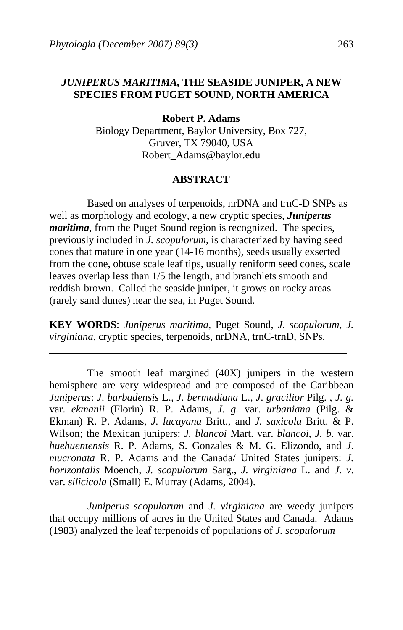$\ddot{\phantom{a}}$ 

## *JUNIPERUS MARITIMA,* **THE SEASIDE JUNIPER, A NEW SPECIES FROM PUGET SOUND, NORTH AMERICA**

**Robert P. Adams** 

Biology Department, Baylor University, Box 727, Gruver, TX 79040, USA Robert\_Adams@baylor.edu

#### **ABSTRACT**

 Based on analyses of terpenoids, nrDNA and trnC-D SNPs as well as morphology and ecology, a new cryptic species, *Juniperus maritima*, from the Puget Sound region is recognized. The species, previously included in *J. scopulorum*, is characterized by having seed cones that mature in one year (14-16 months), seeds usually exserted from the cone, obtuse scale leaf tips, usually reniform seed cones, scale leaves overlap less than 1/5 the length, and branchlets smooth and reddish-brown. Called the seaside juniper, it grows on rocky areas (rarely sand dunes) near the sea, in Puget Sound.

**KEY WORDS**: *Juniperus maritima*, Puget Sound, *J. scopulorum*, *J. virginiana*, cryptic species, terpenoids, nrDNA, trnC-trnD, SNPs.

 The smooth leaf margined (40X) junipers in the western hemisphere are very widespread and are composed of the Caribbean *Juniperus*: *J*. *barbadensis* L., *J*. *bermudiana* L., *J*. *gracilior* Pilg. , *J. g.*  var. *ekmanii* (Florin) R. P. Adams, *J. g.* var. *urbaniana* (Pilg. & Ekman) R. P. Adams, *J. lucayana* Britt., and *J. saxicola* Britt. & P. Wilson; the Mexican junipers: *J. blancoi* Mart. var. *blancoi*, *J. b*. var. *huehuentensis* R. P. Adams, S. Gonzales & M. G. Elizondo, and *J*. *mucronata* R. P. Adams and the Canada/ United States junipers: *J. horizontalis* Moench, *J. scopulorum* Sarg., *J. virginiana* L. and *J. v*. var. *silicicola* (Small) E. Murray (Adams, 2004).

*Juniperus scopulorum* and *J. virginiana* are weedy junipers that occupy millions of acres in the United States and Canada. Adams (1983) analyzed the leaf terpenoids of populations of *J. scopulorum*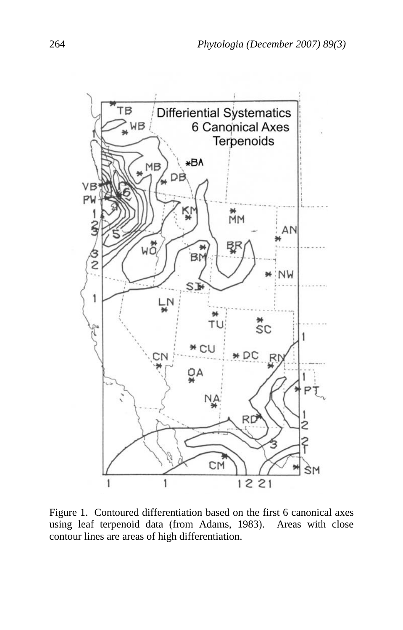

Figure 1. Contoured differentiation based on the first 6 canonical axes using leaf terpenoid data (from Adams, 1983). Areas with close contour lines are areas of high differentiation.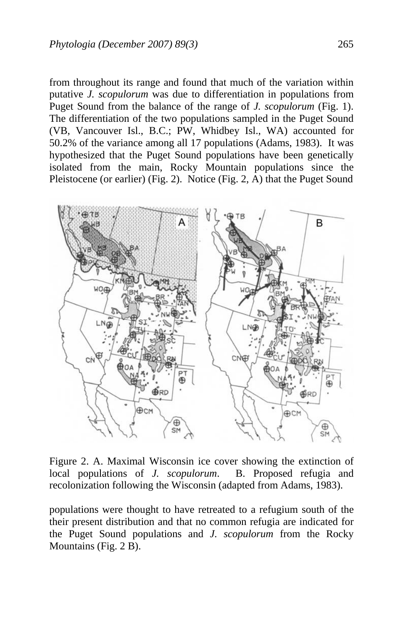from throughout its range and found that much of the variation within putative *J. scopulorum* was due to differentiation in populations from Puget Sound from the balance of the range of *J. scopulorum* (Fig. 1). The differentiation of the two populations sampled in the Puget Sound (VB, Vancouver Isl., B.C.; PW, Whidbey Isl., WA) accounted for 50.2% of the variance among all 17 populations (Adams, 1983). It was hypothesized that the Puget Sound populations have been genetically isolated from the main, Rocky Mountain populations since the Pleistocene (or earlier) (Fig. 2). Notice (Fig. 2, A) that the Puget Sound



Figure 2. A. Maximal Wisconsin ice cover showing the extinction of local populations of *J. scopulorum*. B. Proposed refugia and recolonization following the Wisconsin (adapted from Adams, 1983).

populations were thought to have retreated to a refugium south of the their present distribution and that no common refugia are indicated for the Puget Sound populations and *J. scopulorum* from the Rocky Mountains (Fig. 2 B).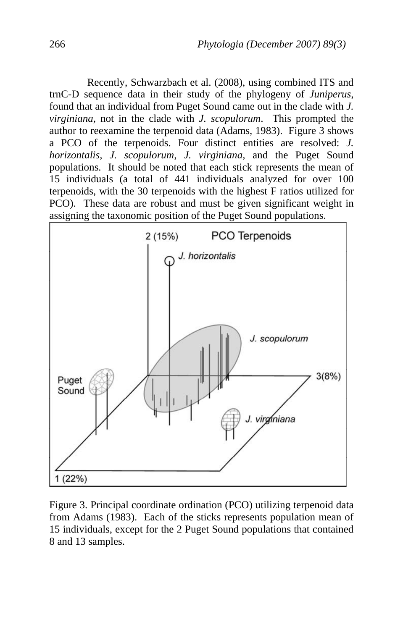Recently, Schwarzbach et al. (2008), using combined ITS and trnC-D sequence data in their study of the phylogeny of *Juniperus*, found that an individual from Puget Sound came out in the clade with *J. virginiana*, not in the clade with *J. scopulorum*. This prompted the author to reexamine the terpenoid data (Adams, 1983). Figure 3 shows a PCO of the terpenoids. Four distinct entities are resolved: *J. horizontalis*, *J. scopulorum*, *J. virginiana*, and the Puget Sound populations. It should be noted that each stick represents the mean of 15 individuals (a total of 441 individuals analyzed for over 100 terpenoids, with the 30 terpenoids with the highest F ratios utilized for PCO). These data are robust and must be given significant weight in assigning the taxonomic position of the Puget Sound populations.



Figure 3. Principal coordinate ordination (PCO) utilizing terpenoid data from Adams (1983). Each of the sticks represents population mean of 15 individuals, except for the 2 Puget Sound populations that contained 8 and 13 samples.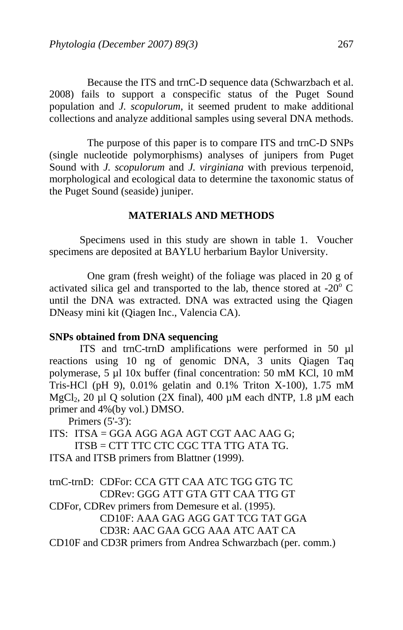Because the ITS and trnC-D sequence data (Schwarzbach et al. 2008) fails to support a conspecific status of the Puget Sound population and *J. scopulorum*, it seemed prudent to make additional collections and analyze additional samples using several DNA methods.

 The purpose of this paper is to compare ITS and trnC-D SNPs (single nucleotide polymorphisms) analyses of junipers from Puget Sound with *J. scopulorum* and *J. virginiana* with previous terpenoid, morphological and ecological data to determine the taxonomic status of the Puget Sound (seaside) juniper.

# **MATERIALS AND METHODS**

 Specimens used in this study are shown in table 1. Voucher specimens are deposited at BAYLU herbarium Baylor University.

 One gram (fresh weight) of the foliage was placed in 20 g of activated silica gel and transported to the lab, thence stored at  $-20^{\circ}$  C until the DNA was extracted. DNA was extracted using the Qiagen DNeasy mini kit (Qiagen Inc., Valencia CA).

## **SNPs obtained from DNA sequencing**

 ITS and trnC-trnD amplifications were performed in 50 µl reactions using 10 ng of genomic DNA, 3 units Qiagen Taq polymerase, 5 µl 10x buffer (final concentration: 50 mM KCl, 10 mM Tris-HCl (pH 9), 0.01% gelatin and 0.1% Triton X-100), 1.75 mM MgCl<sub>2</sub>, 20 µl Q solution (2X final), 400 µM each dNTP, 1.8 µM each primer and 4%(by vol.) DMSO.

Primers (5'-3'):

ITS: ITSA = GGA AGG AGA AGT CGT AAC AAG G; ITSB = CTT TTC CTC CGC TTA TTG ATA TG. ITSA and ITSB primers from Blattner (1999).

trnC-trnD: CDFor: CCA GTT CAA ATC TGG GTG TC CDRev: GGG ATT GTA GTT CAA TTG GT

CDFor, CDRev primers from Demesure et al. (1995). CD10F: AAA GAG AGG GAT TCG TAT GGA CD3R: AAC GAA GCG AAA ATC AAT CA

CD10F and CD3R primers from Andrea Schwarzbach (per. comm.)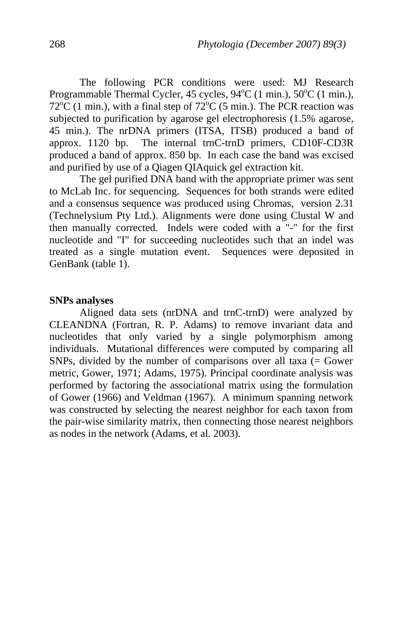The following PCR conditions were used: MJ Research Programmable Thermal Cycler, 45 cycles, 94°C (1 min.), 50°C (1 min.),  $72^{\circ}$ C (1 min.), with a final step of  $72^{\circ}$ C (5 min.). The PCR reaction was subjected to purification by agarose gel electrophoresis (1.5% agarose, 45 min.). The nrDNA primers (ITSA, ITSB) produced a band of approx. 1120 bp. The internal trnC-trnD primers, CD10F-CD3R produced a band of approx. 850 bp. In each case the band was excised and purified by use of a Qiagen QIAquick gel extraction kit.

 The gel purified DNA band with the appropriate primer was sent to McLab Inc. for sequencing. Sequences for both strands were edited and a consensus sequence was produced using Chromas, version 2.31 (Technelysium Pty Ltd.). Alignments were done using Clustal W and then manually corrected. Indels were coded with a "-" for the first nucleotide and "I" for succeeding nucleotides such that an indel was treated as a single mutation event. Sequences were deposited in GenBank (table 1).

#### **SNPs analyses**

 Aligned data sets (nrDNA and trnC-trnD) were analyzed by CLEANDNA (Fortran, R. P. Adams) to remove invariant data and nucleotides that only varied by a single polymorphism among individuals. Mutational differences were computed by comparing all SNPs, divided by the number of comparisons over all taxa  $(=$  Gower metric, Gower, 1971; Adams, 1975). Principal coordinate analysis was performed by factoring the associational matrix using the formulation of Gower (1966) and Veldman (1967). A minimum spanning network was constructed by selecting the nearest neighbor for each taxon from the pair-wise similarity matrix, then connecting those nearest neighbors as nodes in the network (Adams, et al. 2003).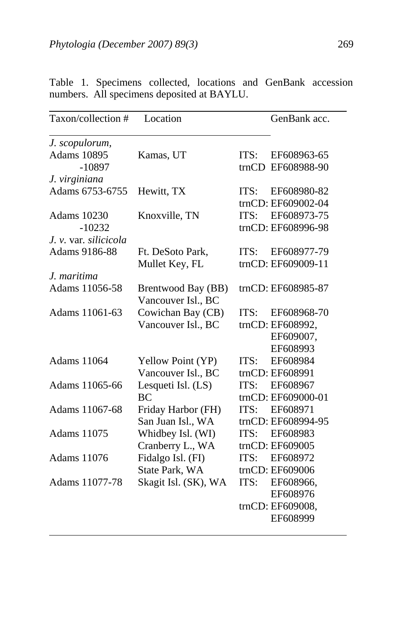| Taxon/collection #    | Location             | GenBank acc.        |
|-----------------------|----------------------|---------------------|
| J. scopulorum,        |                      |                     |
| <b>Adams 10895</b>    | Kamas, UT            | ITS:<br>EF608963-65 |
| $-10897$              |                      | trnCD EF608988-90   |
| J. virginiana         |                      |                     |
| Adams 6753-6755       | Hewitt, TX           | ITS:<br>EF608980-82 |
|                       |                      | trnCD: EF609002-04  |
| <b>Adams</b> 10230    | Knoxville, TN        | ITS:<br>EF608973-75 |
| $-10232$              |                      | trnCD: EF608996-98  |
| J. v. var. silicicola |                      |                     |
| Adams 9186-88         | Ft. DeSoto Park,     | EF608977-79<br>ITS: |
|                       | Mullet Key, FL       | trnCD: EF609009-11  |
| J. maritima           |                      |                     |
| Adams 11056-58        | Brentwood Bay (BB)   | trnCD: EF608985-87  |
|                       | Vancouver Isl., BC   |                     |
| Adams 11061-63        | Cowichan Bay (CB)    | ITS:<br>EF608968-70 |
|                       | Vancouver Isl., BC   | trnCD: EF608992,    |
|                       |                      | EF609007,           |
|                       |                      | EF608993            |
| Adams 11064           | Yellow Point (YP)    | ITS:<br>EF608984    |
|                       | Vancouver Isl., BC   | trnCD: EF608991     |
| Adams 11065-66        | Lesqueti Isl. (LS)   | EF608967<br>ITS:    |
|                       | BC                   | trnCD: EF609000-01  |
| Adams 11067-68        | Friday Harbor (FH)   | ITS:<br>EF608971    |
|                       | San Juan Isl., WA    | trnCD: EF608994-95  |
| Adams 11075           | Whidbey Isl. (WI)    | ITS:<br>EF608983    |
|                       | Cranberry L., WA     | trnCD: EF609005     |
| Adams 11076           | Fidalgo Isl. (FI)    | ITS:<br>EF608972    |
|                       | State Park, WA       | trnCD: EF609006     |
| Adams 11077-78        | Skagit Isl. (SK), WA | EF608966,<br>ITS:   |
|                       |                      | EF608976            |
|                       |                      | trnCD: EF609008,    |
|                       |                      | EF608999            |

Table 1. Specimens collected, locations and GenBank accession numbers. All specimens deposited at BAYLU.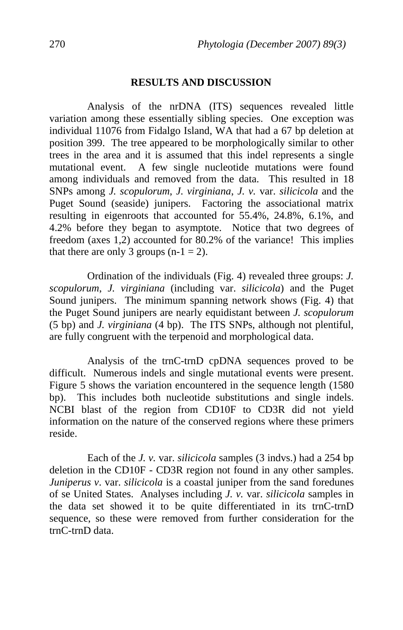### **RESULTS AND DISCUSSION**

 Analysis of the nrDNA (ITS) sequences revealed little variation among these essentially sibling species. One exception was individual 11076 from Fidalgo Island, WA that had a 67 bp deletion at position 399. The tree appeared to be morphologically similar to other trees in the area and it is assumed that this indel represents a single mutational event. A few single nucleotide mutations were found among individuals and removed from the data. This resulted in 18 SNPs among *J. scopulorum*, *J. virginiana*, *J. v.* var. *silicicola* and the Puget Sound (seaside) junipers. Factoring the associational matrix resulting in eigenroots that accounted for 55.4%, 24.8%, 6.1%, and 4.2% before they began to asymptote. Notice that two degrees of freedom (axes 1,2) accounted for 80.2% of the variance! This implies that there are only 3 groups  $(n-1 = 2)$ .

 Ordination of the individuals (Fig. 4) revealed three groups: *J. scopulorum*, *J. virginiana* (including var. *silicicola*) and the Puget Sound junipers. The minimum spanning network shows (Fig. 4) that the Puget Sound junipers are nearly equidistant between *J. scopulorum* (5 bp) and *J. virginiana* (4 bp). The ITS SNPs, although not plentiful, are fully congruent with the terpenoid and morphological data.

 Analysis of the trnC-trnD cpDNA sequences proved to be difficult. Numerous indels and single mutational events were present. Figure 5 shows the variation encountered in the sequence length (1580 bp). This includes both nucleotide substitutions and single indels. NCBI blast of the region from CD10F to CD3R did not yield information on the nature of the conserved regions where these primers reside.

 Each of the *J. v.* var. *silicicola* samples (3 indvs.) had a 254 bp deletion in the CD10F - CD3R region not found in any other samples. *Juniperus v. var. silicicola* is a coastal juniper from the sand foredunes of se United States. Analyses including *J. v.* var. *silicicola* samples in the data set showed it to be quite differentiated in its trnC-trnD sequence, so these were removed from further consideration for the trnC-trnD data.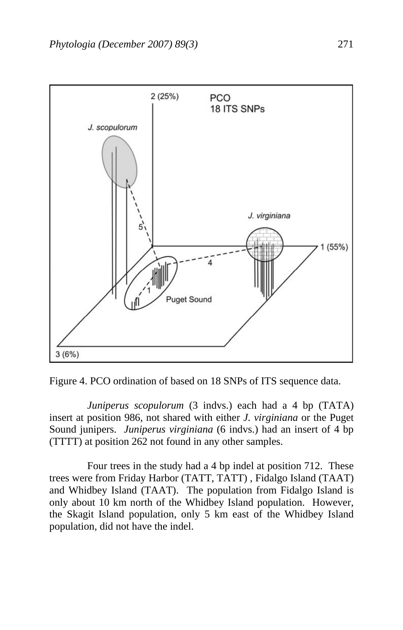

Figure 4. PCO ordination of based on 18 SNPs of ITS sequence data.

*Juniperus scopulorum* (3 indvs.) each had a 4 bp (TATA) insert at position 986, not shared with either *J. virginiana* or the Puget Sound junipers. *Juniperus virginiana* (6 indvs.) had an insert of 4 bp (TTTT) at position 262 not found in any other samples.

 Four trees in the study had a 4 bp indel at position 712. These trees were from Friday Harbor (TATT, TATT) , Fidalgo Island (TAAT) and Whidbey Island (TAAT). The population from Fidalgo Island is only about 10 km north of the Whidbey Island population. However, the Skagit Island population, only 5 km east of the Whidbey Island population, did not have the indel.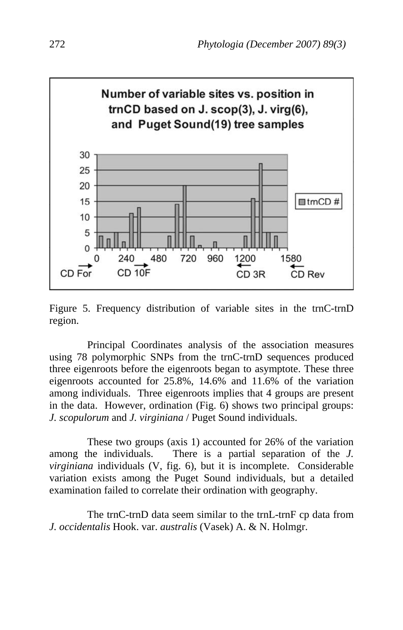

Figure 5. Frequency distribution of variable sites in the trnC-trnD region.

 Principal Coordinates analysis of the association measures using 78 polymorphic SNPs from the trnC-trnD sequences produced three eigenroots before the eigenroots began to asymptote. These three eigenroots accounted for 25.8%, 14.6% and 11.6% of the variation among individuals. Three eigenroots implies that 4 groups are present in the data. However, ordination (Fig. 6) shows two principal groups: *J. scopulorum* and *J. virginiana* / Puget Sound individuals.

 These two groups (axis 1) accounted for 26% of the variation among the individuals. There is a partial separation of the *J. virginiana* individuals (V, fig. 6), but it is incomplete. Considerable variation exists among the Puget Sound individuals, but a detailed examination failed to correlate their ordination with geography.

 The trnC-trnD data seem similar to the trnL-trnF cp data from *J. occidentalis* Hook. var. *australis* (Vasek) A. & N. Holmgr.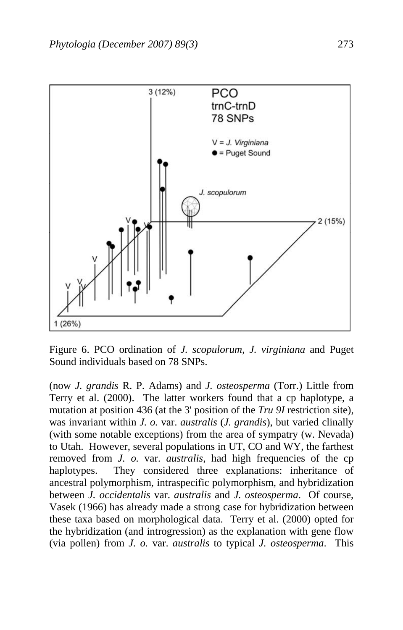

Figure 6. PCO ordination of *J. scopulorum*, *J. virginiana* and Puget Sound individuals based on 78 SNPs.

(now *J. grandis* R. P. Adams) and *J. osteosperma* (Torr.) Little from Terry et al. (2000). The latter workers found that a cp haplotype, a mutation at position 436 (at the 3' position of the *Tru 9I* restriction site), was invariant within *J. o.* var. *australis* (*J. grandis*), but varied clinally (with some notable exceptions) from the area of sympatry (w. Nevada) to Utah. However, several populations in UT, CO and WY, the farthest removed from *J. o.* var. *australis*, had high frequencies of the cp haplotypes. They considered three explanations: inheritance of ancestral polymorphism, intraspecific polymorphism, and hybridization between *J. occidentalis* var. *australis* and *J. osteosperma*. Of course, Vasek (1966) has already made a strong case for hybridization between these taxa based on morphological data. Terry et al. (2000) opted for the hybridization (and introgression) as the explanation with gene flow (via pollen) from *J. o.* var. *australis* to typical *J. osteosperma*. This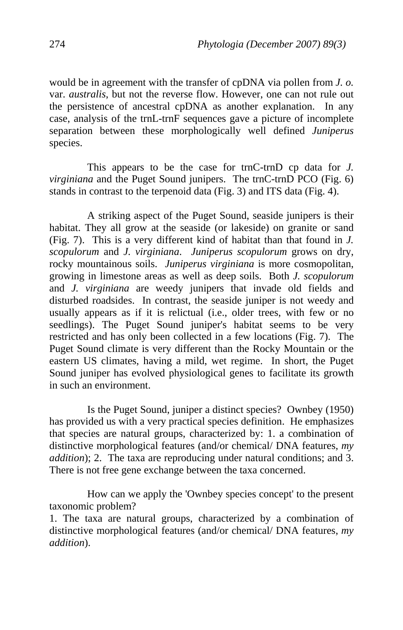would be in agreement with the transfer of cpDNA via pollen from *J. o.* var. *australis*, but not the reverse flow. However, one can not rule out the persistence of ancestral cpDNA as another explanation. In any case, analysis of the trnL-trnF sequences gave a picture of incomplete separation between these morphologically well defined *Juniperus* species.

 This appears to be the case for trnC-trnD cp data for *J. virginiana* and the Puget Sound junipers. The trnC-trnD PCO (Fig. 6) stands in contrast to the terpenoid data (Fig. 3) and ITS data (Fig. 4).

 A striking aspect of the Puget Sound, seaside junipers is their habitat. They all grow at the seaside (or lakeside) on granite or sand (Fig. 7). This is a very different kind of habitat than that found in *J. scopulorum* and *J. virginiana*. *Juniperus scopulorum* grows on dry, rocky mountainous soils. *Juniperus virginiana* is more cosmopolitan, growing in limestone areas as well as deep soils. Both *J. scopulorum* and *J. virginiana* are weedy junipers that invade old fields and disturbed roadsides. In contrast, the seaside juniper is not weedy and usually appears as if it is relictual (i.e., older trees, with few or no seedlings). The Puget Sound juniper's habitat seems to be very restricted and has only been collected in a few locations (Fig. 7). The Puget Sound climate is very different than the Rocky Mountain or the eastern US climates, having a mild, wet regime. In short, the Puget Sound juniper has evolved physiological genes to facilitate its growth in such an environment.

 Is the Puget Sound, juniper a distinct species? Ownbey (1950) has provided us with a very practical species definition. He emphasizes that species are natural groups, characterized by: 1. a combination of distinctive morphological features (and/or chemical/ DNA features, *my addition*); 2. The taxa are reproducing under natural conditions; and 3. There is not free gene exchange between the taxa concerned.

 How can we apply the 'Ownbey species concept' to the present taxonomic problem?

1. The taxa are natural groups, characterized by a combination of distinctive morphological features (and/or chemical/ DNA features, *my addition*).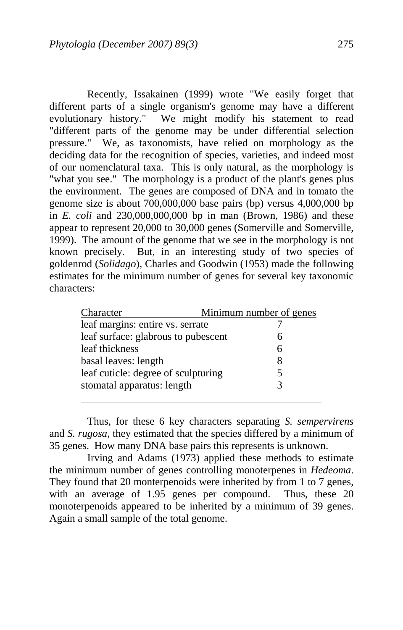Recently, Issakainen (1999) wrote "We easily forget that different parts of a single organism's genome may have a different evolutionary history." We might modify his statement to read "different parts of the genome may be under differential selection pressure." We, as taxonomists, have relied on morphology as the deciding data for the recognition of species, varieties, and indeed most of our nomenclatural taxa. This is only natural, as the morphology is "what you see." The morphology is a product of the plant's genes plus the environment. The genes are composed of DNA and in tomato the genome size is about 700,000,000 base pairs (bp) versus 4,000,000 bp in *E. coli* and 230,000,000,000 bp in man (Brown, 1986) and these appear to represent 20,000 to 30,000 genes (Somerville and Somerville, 1999). The amount of the genome that we see in the morphology is not known precisely. But, in an interesting study of two species of goldenrod (*Solidago*), Charles and Goodwin (1953) made the following estimates for the minimum number of genes for several key taxonomic characters:

| Character                           | Minimum number of genes |  |  |
|-------------------------------------|-------------------------|--|--|
| leaf margins: entire vs. serrate    |                         |  |  |
| leaf surface: glabrous to pubescent | 6                       |  |  |
| leaf thickness                      | 6                       |  |  |
| basal leaves: length                | 8                       |  |  |
| leaf cuticle: degree of sculpturing | 5                       |  |  |
| stomatal apparatus: length          |                         |  |  |

 Thus, for these 6 key characters separating *S. sempervirens* and *S. rugosa*, they estimated that the species differed by a minimum of 35 genes. How many DNA base pairs this represents is unknown.

 Irving and Adams (1973) applied these methods to estimate the minimum number of genes controlling monoterpenes in *Hedeoma*. They found that 20 monterpenoids were inherited by from 1 to 7 genes, with an average of 1.95 genes per compound. Thus, these 20 monoterpenoids appeared to be inherited by a minimum of 39 genes. Again a small sample of the total genome.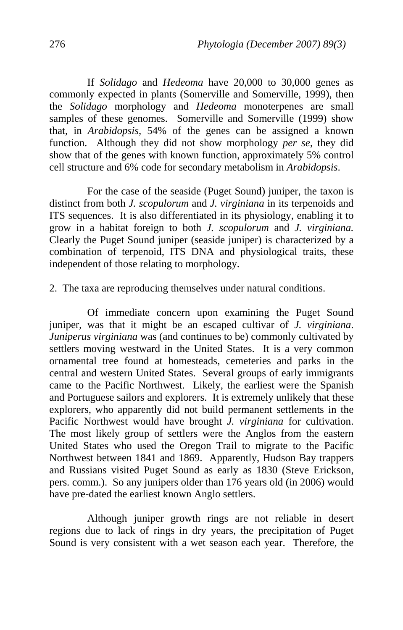If *Solidago* and *Hedeoma* have 20,000 to 30,000 genes as commonly expected in plants (Somerville and Somerville, 1999), then the *Solidago* morphology and *Hedeoma* monoterpenes are small samples of these genomes. Somerville and Somerville (1999) show that, in *Arabidopsis*, 54% of the genes can be assigned a known function. Although they did not show morphology *per se*, they did show that of the genes with known function, approximately 5% control cell structure and 6% code for secondary metabolism in *Arabidopsis*.

 For the case of the seaside (Puget Sound) juniper, the taxon is distinct from both *J. scopulorum* and *J. virginiana* in its terpenoids and ITS sequences. It is also differentiated in its physiology, enabling it to grow in a habitat foreign to both *J. scopulorum* and *J. virginiana.*  Clearly the Puget Sound juniper (seaside juniper) is characterized by a combination of terpenoid, ITS DNA and physiological traits, these independent of those relating to morphology.

2. The taxa are reproducing themselves under natural conditions.

 Of immediate concern upon examining the Puget Sound juniper, was that it might be an escaped cultivar of *J. virginiana*. *Juniperus virginiana* was (and continues to be) commonly cultivated by settlers moving westward in the United States. It is a very common ornamental tree found at homesteads, cemeteries and parks in the central and western United States. Several groups of early immigrants came to the Pacific Northwest. Likely, the earliest were the Spanish and Portuguese sailors and explorers. It is extremely unlikely that these explorers, who apparently did not build permanent settlements in the Pacific Northwest would have brought *J. virginiana* for cultivation. The most likely group of settlers were the Anglos from the eastern United States who used the Oregon Trail to migrate to the Pacific Northwest between 1841 and 1869. Apparently, Hudson Bay trappers and Russians visited Puget Sound as early as 1830 (Steve Erickson, pers. comm.). So any junipers older than 176 years old (in 2006) would have pre-dated the earliest known Anglo settlers.

 Although juniper growth rings are not reliable in desert regions due to lack of rings in dry years, the precipitation of Puget Sound is very consistent with a wet season each year. Therefore, the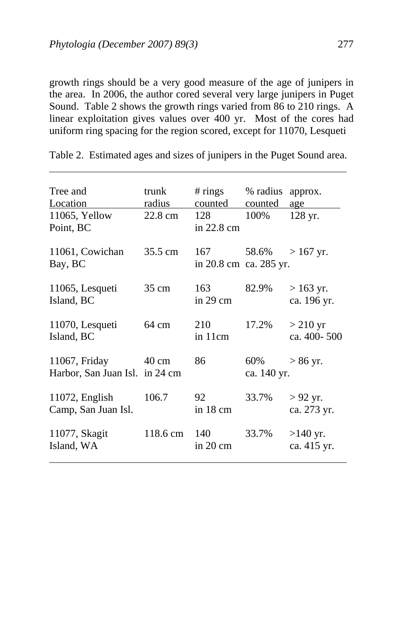$\ddot{\phantom{a}}$ 

growth rings should be a very good measure of the age of junipers in the area. In 2006, the author cored several very large junipers in Puget Sound. Table 2 shows the growth rings varied from 86 to 210 rings. A linear exploitation gives values over 400 yr. Most of the cores had uniform ring spacing for the region scored, except for 11070, Lesqueti

| Tree and<br>Location<br>11065, Yellow<br>Point, BC | trunk<br>radius<br>22.8 cm | # $rings$<br><u>counted</u><br>128<br>in $22.8 \text{ cm}$ | % radius<br>counted<br>100% | approx.<br>age<br>128 yr. |
|----------------------------------------------------|----------------------------|------------------------------------------------------------|-----------------------------|---------------------------|
| 11061, Cowichan<br>Bay, BC                         | 35.5 cm                    | 167<br>in 20.8 cm ca. 285 yr.                              | 58.6%                       | $>167$ yr.                |
| 11065, Lesqueti<br>Island, BC                      | $35 \text{ cm}$            | 163<br>in $29 \text{ cm}$                                  | 82.9%                       | $>163$ yr.<br>ca. 196 yr. |
| 11070, Lesqueti<br>Island, BC                      | 64 cm                      | 210<br>in 11cm                                             | 17.2%                       | $>$ 210 yr<br>ca. 400-500 |
| 11067, Friday<br>Harbor, San Juan Isl. in 24 cm    | 40 cm                      | 86                                                         | 60%<br>ca. 140 yr.          | $> 86$ yr.                |
| $11072$ , English<br>Camp, San Juan Isl.           | 106.7                      | 92<br>in $18 \text{ cm}$                                   | 33.7%                       | $>92$ yr.<br>ca. 273 yr.  |
| 11077, Skagit<br>Island, WA                        | 118.6 cm                   | 140<br>in 20 cm                                            | 33.7%                       | $>140$ yr.<br>ca. 415 yr. |

Table 2. Estimated ages and sizes of junipers in the Puget Sound area.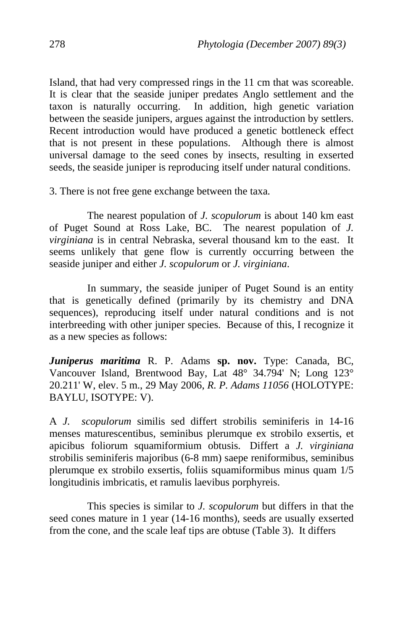Island, that had very compressed rings in the 11 cm that was scoreable. It is clear that the seaside juniper predates Anglo settlement and the taxon is naturally occurring. In addition, high genetic variation between the seaside junipers, argues against the introduction by settlers. Recent introduction would have produced a genetic bottleneck effect that is not present in these populations. Although there is almost universal damage to the seed cones by insects, resulting in exserted seeds, the seaside juniper is reproducing itself under natural conditions.

3. There is not free gene exchange between the taxa.

 The nearest population of *J. scopulorum* is about 140 km east of Puget Sound at Ross Lake, BC. The nearest population of *J. virginiana* is in central Nebraska, several thousand km to the east. It seems unlikely that gene flow is currently occurring between the seaside juniper and either *J. scopulorum* or *J. virginiana*.

 In summary, the seaside juniper of Puget Sound is an entity that is genetically defined (primarily by its chemistry and DNA sequences), reproducing itself under natural conditions and is not interbreeding with other juniper species. Because of this, I recognize it as a new species as follows:

*Juniperus maritima* R. P. Adams **sp. nov.** Type: Canada, BC, Vancouver Island, Brentwood Bay, Lat 48° 34.794' N; Long 123° 20.211' W, elev. 5 m., 29 May 2006, *R. P. Adams 11056* (HOLOTYPE: BAYLU, ISOTYPE: V).

A *J. scopulorum* similis sed differt strobilis seminiferis in 14-16 menses maturescentibus, seminibus plerumque ex strobilo exsertis, et apicibus foliorum squamiformium obtusis. Differt a *J. virginiana*  strobilis seminiferis majoribus (6-8 mm) saepe reniformibus, seminibus plerumque ex strobilo exsertis, foliis squamiformibus minus quam 1/5 longitudinis imbricatis, et ramulis laevibus porphyreis.

 This species is similar to *J. scopulorum* but differs in that the seed cones mature in 1 year (14-16 months), seeds are usually exserted from the cone, and the scale leaf tips are obtuse (Table 3). It differs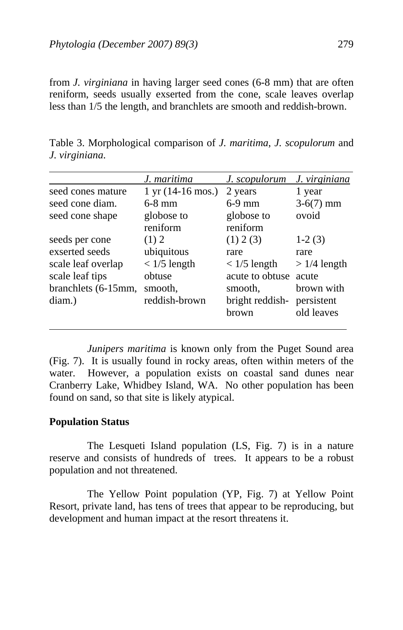from *J. virginiana* in having larger seed cones (6-8 mm) that are often reniform, seeds usually exserted from the cone, scale leaves overlap less than 1/5 the length, and branchlets are smooth and reddish-brown.

|                     | J. maritima                                 | J. scopulorum   | J. virginiana |
|---------------------|---------------------------------------------|-----------------|---------------|
| seed cones mature   | $1 \text{ yr} (14{\text -}16 \text{ mos.})$ | 2 years         | 1 year        |
| seed cone diam.     | $6-8$ mm                                    | $6-9$ mm        | $3-6(7)$ mm   |
| seed cone shape     | globose to                                  | globose to      | ovoid         |
|                     | reniform                                    | reniform        |               |
| seeds per cone      | (1) 2                                       | (1) 2 (3)       | $1-2(3)$      |
| exserted seeds      | ubiquitous                                  | rare            | rare          |
| scale leaf overlap  | $< 1/5$ length                              | $< 1/5$ length  | $>1/4$ length |
| scale leaf tips     | obtuse                                      | acute to obtuse | acute         |
| branchlets (6-15mm, | smooth.                                     | smooth.         | brown with    |
| diam.)              | reddish-brown                               | bright reddish- | persistent    |
|                     |                                             | brown           | old leaves    |

Table 3. Morphological comparison of *J. maritima*, *J. scopulorum* and *J. virginiana*.

*Junipers maritima* is known only from the Puget Sound area (Fig. 7). It is usually found in rocky areas, often within meters of the water. However, a population exists on coastal sand dunes near Cranberry Lake, Whidbey Island, WA. No other population has been found on sand, so that site is likely atypical.

## **Population Status**

 The Lesqueti Island population (LS, Fig. 7) is in a nature reserve and consists of hundreds of trees. It appears to be a robust population and not threatened.

 The Yellow Point population (YP, Fig. 7) at Yellow Point Resort, private land, has tens of trees that appear to be reproducing, but development and human impact at the resort threatens it.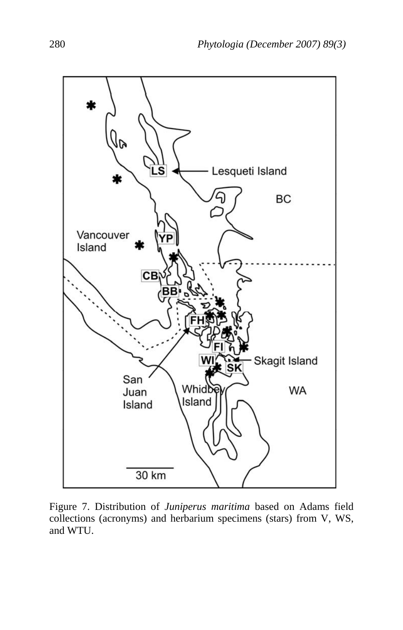

Figure 7. Distribution of *Juniperus maritima* based on Adams field collections (acronyms) and herbarium specimens (stars) from V, WS, and WTU.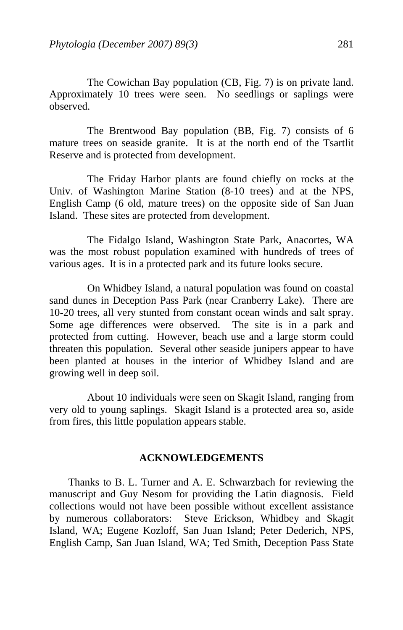The Cowichan Bay population (CB, Fig. 7) is on private land. Approximately 10 trees were seen. No seedlings or saplings were observed.

 The Brentwood Bay population (BB, Fig. 7) consists of 6 mature trees on seaside granite. It is at the north end of the Tsartlit Reserve and is protected from development.

 The Friday Harbor plants are found chiefly on rocks at the Univ. of Washington Marine Station (8-10 trees) and at the NPS, English Camp (6 old, mature trees) on the opposite side of San Juan Island. These sites are protected from development.

 The Fidalgo Island, Washington State Park, Anacortes, WA was the most robust population examined with hundreds of trees of various ages. It is in a protected park and its future looks secure.

 On Whidbey Island, a natural population was found on coastal sand dunes in Deception Pass Park (near Cranberry Lake). There are 10-20 trees, all very stunted from constant ocean winds and salt spray. Some age differences were observed. The site is in a park and protected from cutting. However, beach use and a large storm could threaten this population. Several other seaside junipers appear to have been planted at houses in the interior of Whidbey Island and are growing well in deep soil.

 About 10 individuals were seen on Skagit Island, ranging from very old to young saplings. Skagit Island is a protected area so, aside from fires, this little population appears stable.

### **ACKNOWLEDGEMENTS**

 Thanks to B. L. Turner and A. E. Schwarzbach for reviewing the manuscript and Guy Nesom for providing the Latin diagnosis. Field collections would not have been possible without excellent assistance by numerous collaborators: Steve Erickson, Whidbey and Skagit Island, WA; Eugene Kozloff, San Juan Island; Peter Dederich, NPS, English Camp, San Juan Island, WA; Ted Smith, Deception Pass State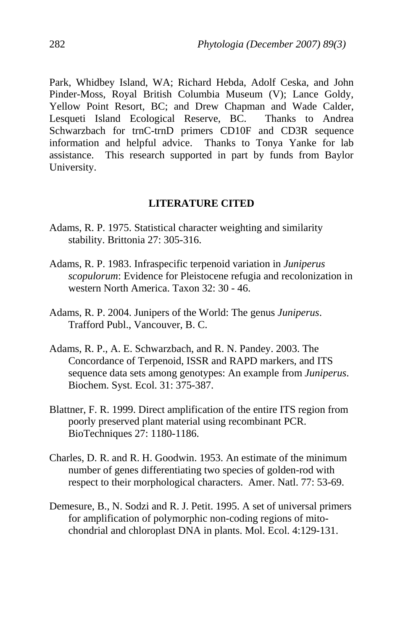Park, Whidbey Island, WA; Richard Hebda, Adolf Ceska, and John Pinder-Moss, Royal British Columbia Museum (V); Lance Goldy, Yellow Point Resort, BC; and Drew Chapman and Wade Calder, Lesqueti Island Ecological Reserve, BC. Thanks to Andrea Schwarzbach for trnC-trnD primers CD10F and CD3R sequence information and helpful advice. Thanks to Tonya Yanke for lab assistance. This research supported in part by funds from Baylor University.

### **LITERATURE CITED**

- Adams, R. P. 1975. Statistical character weighting and similarity stability. Brittonia 27: 305-316.
- Adams, R. P. 1983. Infraspecific terpenoid variation in *Juniperus scopulorum*: Evidence for Pleistocene refugia and recolonization in western North America. Taxon 32: 30 - 46.
- Adams, R. P. 2004. Junipers of the World: The genus *Juniperus*. Trafford Publ., Vancouver, B. C.
- Adams, R. P., A. E. Schwarzbach, and R. N. Pandey. 2003. The Concordance of Terpenoid, ISSR and RAPD markers, and ITS sequence data sets among genotypes: An example from *Juniperus*. Biochem. Syst. Ecol. 31: 375-387.
- Blattner, F. R. 1999. Direct amplification of the entire ITS region from poorly preserved plant material using recombinant PCR. BioTechniques 27: 1180-1186.
- Charles, D. R. and R. H. Goodwin. 1953. An estimate of the minimum number of genes differentiating two species of golden-rod with respect to their morphological characters. Amer. Natl. 77: 53-69.
- Demesure, B., N. Sodzi and R. J. Petit. 1995. A set of universal primers for amplification of polymorphic non-coding regions of mito chondrial and chloroplast DNA in plants. Mol. Ecol. 4:129-131.